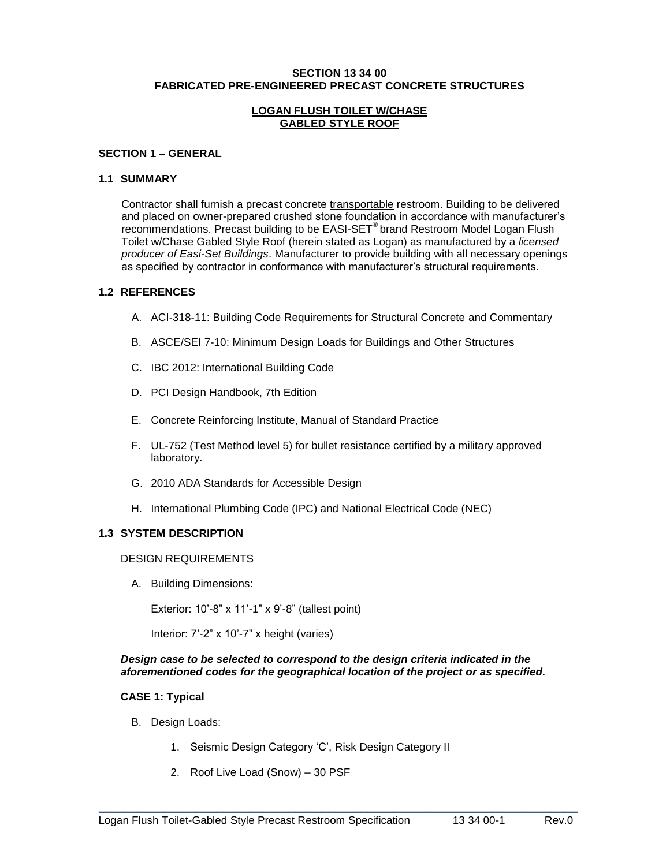#### **SECTION 13 34 00 FABRICATED PRE-ENGINEERED PRECAST CONCRETE STRUCTURES**

### **LOGAN FLUSH TOILET W/CHASE GABLED STYLE ROOF**

#### **SECTION 1 – GENERAL**

#### **1.1 SUMMARY**

Contractor shall furnish a precast concrete transportable restroom. Building to be delivered and placed on owner-prepared crushed stone foundation in accordance with manufacturer's recommendations. Precast building to be EASI-SET® brand Restroom Model Logan Flush Toilet w/Chase Gabled Style Roof (herein stated as Logan) as manufactured by a *licensed producer of Easi-Set Buildings*. Manufacturer to provide building with all necessary openings as specified by contractor in conformance with manufacturer's structural requirements.

### **1.2 REFERENCES**

- A. ACI-318-11: Building Code Requirements for Structural Concrete and Commentary
- B. ASCE/SEI 7-10: Minimum Design Loads for Buildings and Other Structures
- C. IBC 2012: International Building Code
- D. PCI Design Handbook, 7th Edition
- E. Concrete Reinforcing Institute, Manual of Standard Practice
- F. UL-752 (Test Method level 5) for bullet resistance certified by a military approved laboratory.
- G. 2010 ADA Standards for Accessible Design
- H. International Plumbing Code (IPC) and National Electrical Code (NEC)

# **1.3 SYSTEM DESCRIPTION**

### DESIGN REQUIREMENTS

A. Building Dimensions:

Exterior: 10'-8" x 11'-1" x 9'-8" (tallest point)

Interior: 7'-2" x 10'-7" x height (varies)

### *Design case to be selected to correspond to the design criteria indicated in the aforementioned codes for the geographical location of the project or as specified.*

\_\_\_\_\_\_\_\_\_\_\_\_\_\_\_\_\_\_\_\_\_\_\_\_\_\_\_\_\_\_\_\_\_\_\_\_\_\_\_\_\_\_\_\_\_\_\_\_\_\_\_\_\_\_\_\_\_\_\_\_\_\_\_\_\_\_\_\_\_\_\_\_\_

# **CASE 1: Typical**

- B. Design Loads:
	- 1. Seismic Design Category 'C', Risk Design Category II
	- 2. Roof Live Load (Snow) 30 PSF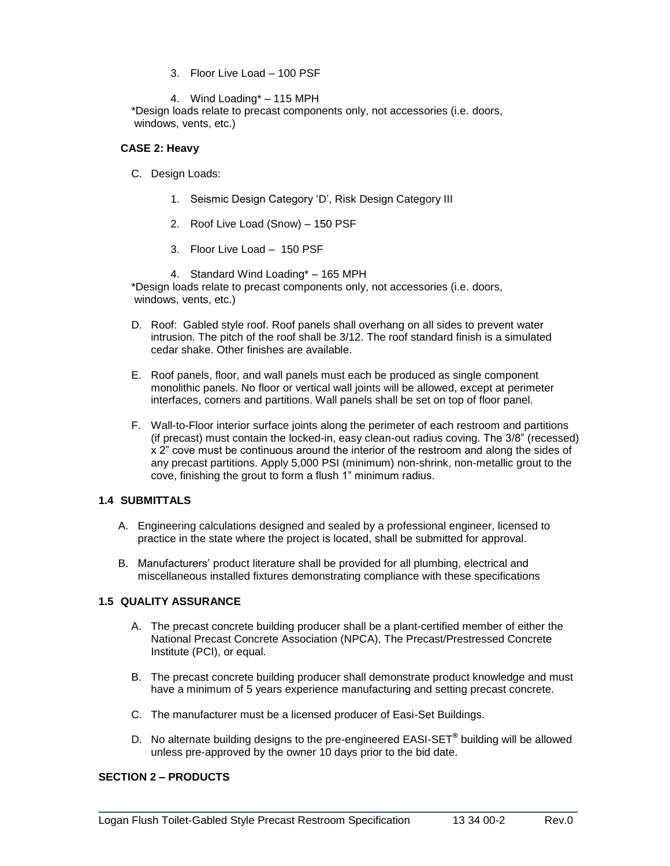- 3. Floor Live Load 100 PSF
- 4. Wind Loading\* 115 MPH

\*Design loads relate to precast components only, not accessories (i.e. doors, windows, vents, etc.)

### **CASE 2: Heavy**

- C. Design Loads:
	- 1. Seismic Design Category 'D', Risk Design Category III
	- 2. Roof Live Load (Snow) 150 PSF
	- 3. Floor Live Load 150 PSF
- 4. Standard Wind Loading\* 165 MPH \*Design loads relate to precast components only, not accessories (i.e. doors, windows, vents, etc.)
- D. Roof: Gabled style roof. Roof panels shall overhang on all sides to prevent water intrusion. The pitch of the roof shall be 3/12. The roof standard finish is a simulated cedar shake. Other finishes are available.
- E. Roof panels, floor, and wall panels must each be produced as single component monolithic panels. No floor or vertical wall joints will be allowed, except at perimeter interfaces, corners and partitions. Wall panels shall be set on top of floor panel.
- F. Wall-to-Floor interior surface joints along the perimeter of each restroom and partitions (if precast) must contain the locked-in, easy clean-out radius coving. The 3/8" (recessed) x 2" cove must be continuous around the interior of the restroom and along the sides of any precast partitions. Apply 5,000 PSI (minimum) non-shrink, non-metallic grout to the cove, finishing the grout to form a flush 1" minimum radius.

# **1.4 SUBMITTALS**

- A. Engineering calculations designed and sealed by a professional engineer, licensed to practice in the state where the project is located, shall be submitted for approval.
- B. Manufacturers' product literature shall be provided for all plumbing, electrical and miscellaneous installed fixtures demonstrating compliance with these specifications

# **1.5 QUALITY ASSURANCE**

- A. The precast concrete building producer shall be a plant-certified member of either the National Precast Concrete Association (NPCA), The Precast/Prestressed Concrete Institute (PCI), or equal.
- B. The precast concrete building producer shall demonstrate product knowledge and must have a minimum of 5 years experience manufacturing and setting precast concrete.
- C. The manufacturer must be a licensed producer of Easi-Set Buildings.
- D. No alternate building designs to the pre-engineered EASI-SET**®** building will be allowed unless pre-approved by the owner 10 days prior to the bid date.

\_\_\_\_\_\_\_\_\_\_\_\_\_\_\_\_\_\_\_\_\_\_\_\_\_\_\_\_\_\_\_\_\_\_\_\_\_\_\_\_\_\_\_\_\_\_\_\_\_\_\_\_\_\_\_\_\_\_\_\_\_\_\_\_\_\_\_\_\_\_\_\_\_

### **SECTION 2 – PRODUCTS**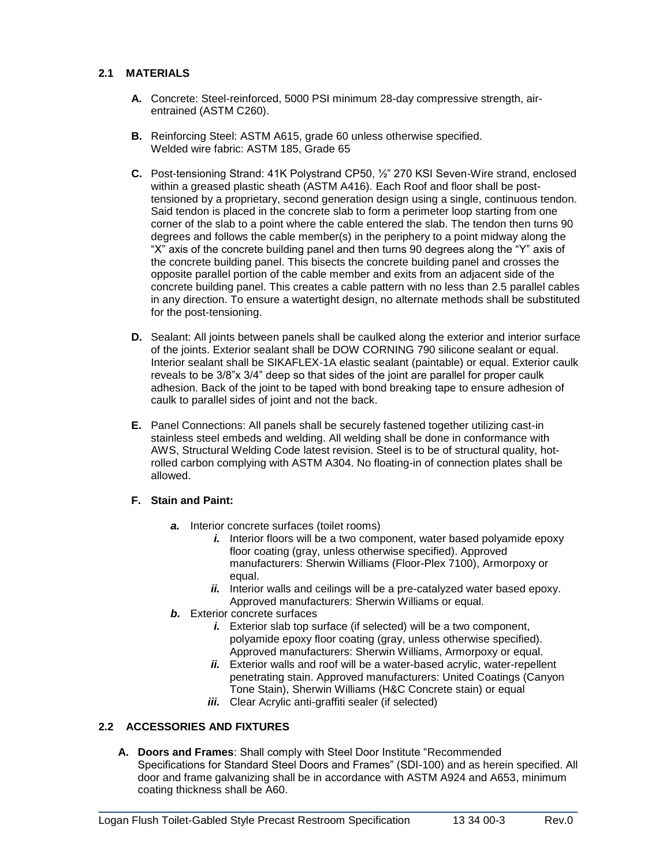# **2.1 MATERIALS**

- **A.** Concrete: Steel-reinforced, 5000 PSI minimum 28-day compressive strength, airentrained (ASTM C260).
- **B.** Reinforcing Steel: ASTM A615, grade 60 unless otherwise specified. Welded wire fabric: ASTM 185, Grade 65
- **C.** Post-tensioning Strand: 41K Polystrand CP50, ½" 270 KSI Seven-Wire strand, enclosed within a greased plastic sheath (ASTM A416). Each Roof and floor shall be posttensioned by a proprietary, second generation design using a single, continuous tendon. Said tendon is placed in the concrete slab to form a perimeter loop starting from one corner of the slab to a point where the cable entered the slab. The tendon then turns 90 degrees and follows the cable member(s) in the periphery to a point midway along the "X" axis of the concrete building panel and then turns 90 degrees along the "Y" axis of the concrete building panel. This bisects the concrete building panel and crosses the opposite parallel portion of the cable member and exits from an adjacent side of the concrete building panel. This creates a cable pattern with no less than 2.5 parallel cables in any direction. To ensure a watertight design, no alternate methods shall be substituted for the post-tensioning.
- **D.** Sealant: All joints between panels shall be caulked along the exterior and interior surface of the joints. Exterior sealant shall be DOW CORNING 790 silicone sealant or equal. Interior sealant shall be SIKAFLEX-1A elastic sealant (paintable) or equal. Exterior caulk reveals to be 3/8"x 3/4" deep so that sides of the joint are parallel for proper caulk adhesion. Back of the joint to be taped with bond breaking tape to ensure adhesion of caulk to parallel sides of joint and not the back.
- **E.** Panel Connections: All panels shall be securely fastened together utilizing cast-in stainless steel embeds and welding. All welding shall be done in conformance with AWS, Structural Welding Code latest revision. Steel is to be of structural quality, hotrolled carbon complying with ASTM A304. No floating-in of connection plates shall be allowed.

#### **F. Stain and Paint:**

- *a.* Interior concrete surfaces (toilet rooms)
	- *i.* Interior floors will be a two component, water based polyamide epoxy floor coating (gray, unless otherwise specified). Approved manufacturers: Sherwin Williams (Floor-Plex 7100), Armorpoxy or equal.
	- *ii.* Interior walls and ceilings will be a pre-catalyzed water based epoxy. Approved manufacturers: Sherwin Williams or equal.
- *b.* Exterior concrete surfaces
	- *i.* Exterior slab top surface (if selected) will be a two component, polyamide epoxy floor coating (gray, unless otherwise specified). Approved manufacturers: Sherwin Williams, Armorpoxy or equal.
	- *ii.* Exterior walls and roof will be a water-based acrylic, water-repellent penetrating stain. Approved manufacturers: United Coatings (Canyon Tone Stain), Sherwin Williams (H&C Concrete stain) or equal
	- *iii.* Clear Acrylic anti-graffiti sealer (if selected)

# **2.2 ACCESSORIES AND FIXTURES**

**A. Doors and Frames**: Shall comply with Steel Door Institute "Recommended Specifications for Standard Steel Doors and Frames" (SDI-100) and as herein specified. All door and frame galvanizing shall be in accordance with ASTM A924 and A653, minimum coating thickness shall be A60.

\_\_\_\_\_\_\_\_\_\_\_\_\_\_\_\_\_\_\_\_\_\_\_\_\_\_\_\_\_\_\_\_\_\_\_\_\_\_\_\_\_\_\_\_\_\_\_\_\_\_\_\_\_\_\_\_\_\_\_\_\_\_\_\_\_\_\_\_\_\_\_\_\_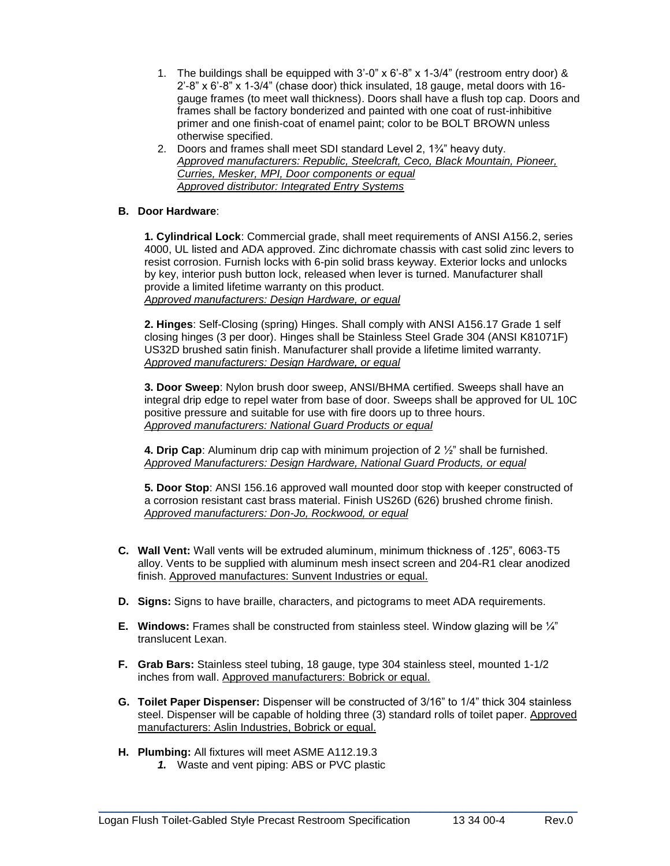- 1. The buildings shall be equipped with 3'-0" x 6'-8" x 1-3/4" (restroom entry door) & 2'-8" x 6'-8" x 1-3/4" (chase door) thick insulated, 18 gauge, metal doors with 16 gauge frames (to meet wall thickness). Doors shall have a flush top cap. Doors and frames shall be factory bonderized and painted with one coat of rust-inhibitive primer and one finish-coat of enamel paint; color to be BOLT BROWN unless otherwise specified.
- 2. Doors and frames shall meet SDI standard Level 2, 1¾" heavy duty. *Approved manufacturers: Republic, Steelcraft, Ceco, Black Mountain, Pioneer, Curries, Mesker, MPI, Door components or equal Approved distributor: Integrated Entry Systems*

# **B. Door Hardware**:

**1. Cylindrical Lock**: Commercial grade, shall meet requirements of ANSI A156.2, series 4000, UL listed and ADA approved. Zinc dichromate chassis with cast solid zinc levers to resist corrosion. Furnish locks with 6-pin solid brass keyway. Exterior locks and unlocks by key, interior push button lock, released when lever is turned. Manufacturer shall provide a limited lifetime warranty on this product. *Approved manufacturers: Design Hardware, or equal*

**2. Hinges**: Self-Closing (spring) Hinges. Shall comply with ANSI A156.17 Grade 1 self closing hinges (3 per door). Hinges shall be Stainless Steel Grade 304 (ANSI K81071F) US32D brushed satin finish. Manufacturer shall provide a lifetime limited warranty. *Approved manufacturers: Design Hardware, or equal*

**3. Door Sweep**: Nylon brush door sweep, ANSI/BHMA certified. Sweeps shall have an integral drip edge to repel water from base of door. Sweeps shall be approved for UL 10C positive pressure and suitable for use with fire doors up to three hours. *Approved manufacturers: National Guard Products or equal*

**4. Drip Cap**: Aluminum drip cap with minimum projection of 2 ½" shall be furnished. *Approved Manufacturers: Design Hardware, National Guard Products, or equal*

**5. Door Stop**: ANSI 156.16 approved wall mounted door stop with keeper constructed of a corrosion resistant cast brass material. Finish US26D (626) brushed chrome finish. *Approved manufacturers: Don-Jo, Rockwood, or equal*

- **C. Wall Vent:** Wall vents will be extruded aluminum, minimum thickness of .125", 6063-T5 alloy. Vents to be supplied with aluminum mesh insect screen and 204-R1 clear anodized finish. Approved manufactures: Sunvent Industries or equal.
- **D. Signs:** Signs to have braille, characters, and pictograms to meet ADA requirements.
- **E. Windows:** Frames shall be constructed from stainless steel. Window glazing will be ¼" translucent Lexan.
- **F. Grab Bars:** Stainless steel tubing, 18 gauge, type 304 stainless steel, mounted 1-1/2 inches from wall. Approved manufacturers: Bobrick or equal.
- **G. Toilet Paper Dispenser:** Dispenser will be constructed of 3/16" to 1/4" thick 304 stainless steel. Dispenser will be capable of holding three (3) standard rolls of toilet paper. Approved manufacturers: Aslin Industries, Bobrick or equal.
- **H. Plumbing:** All fixtures will meet ASME A112.19.3
	- *1.* Waste and vent piping: ABS or PVC plastic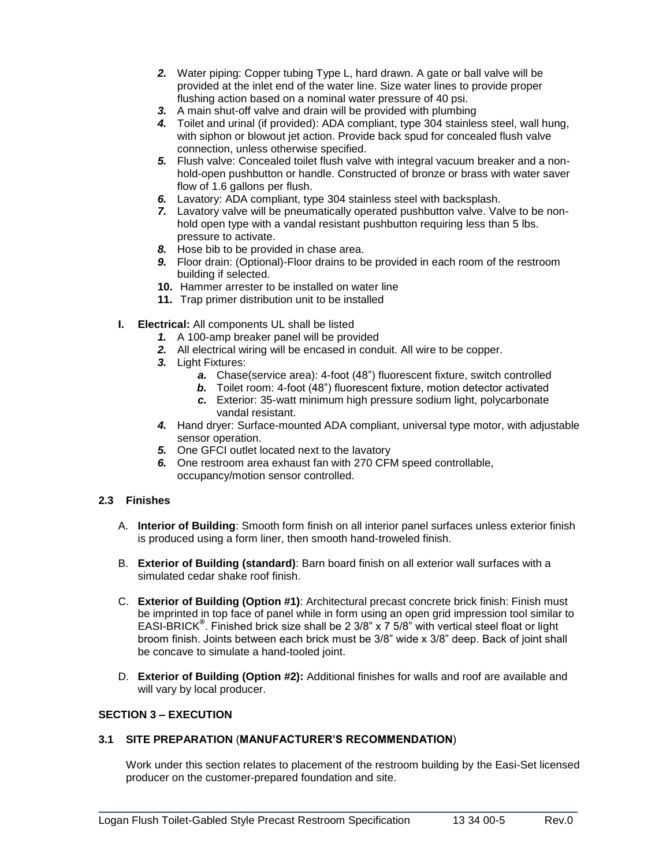- *2.* Water piping: Copper tubing Type L, hard drawn. A gate or ball valve will be provided at the inlet end of the water line. Size water lines to provide proper flushing action based on a nominal water pressure of 40 psi.
- *3.* A main shut-off valve and drain will be provided with plumbing
- *4.* Toilet and urinal (if provided): ADA compliant, type 304 stainless steel, wall hung, with siphon or blowout jet action. Provide back spud for concealed flush valve connection, unless otherwise specified.
- *5.* Flush valve: Concealed toilet flush valve with integral vacuum breaker and a nonhold-open pushbutton or handle. Constructed of bronze or brass with water saver flow of 1.6 gallons per flush.
- *6.* Lavatory: ADA compliant, type 304 stainless steel with backsplash.
- *7.* Lavatory valve will be pneumatically operated pushbutton valve. Valve to be nonhold open type with a vandal resistant pushbutton requiring less than 5 lbs. pressure to activate.
- *8.* Hose bib to be provided in chase area.
- *9.* Floor drain: (Optional)-Floor drains to be provided in each room of the restroom building if selected.
- **10.** Hammer arrester to be installed on water line
- **11.** Trap primer distribution unit to be installed
- **I. Electrical:** All components UL shall be listed
	- *1.* A 100-amp breaker panel will be provided
	- *2.* All electrical wiring will be encased in conduit. All wire to be copper.
	- *3.* Light Fixtures:
		- *a.* Chase(service area): 4-foot (48") fluorescent fixture, switch controlled
		- *b.* Toilet room: 4-foot (48") fluorescent fixture, motion detector activated
		- *c.* Exterior: 35-watt minimum high pressure sodium light, polycarbonate vandal resistant.
	- *4.* Hand dryer: Surface-mounted ADA compliant, universal type motor, with adjustable sensor operation.
	- *5.* One GFCI outlet located next to the lavatory
	- *6.* One restroom area exhaust fan with 270 CFM speed controllable, occupancy/motion sensor controlled.

# **2.3 Finishes**

- A. **Interior of Building**: Smooth form finish on all interior panel surfaces unless exterior finish is produced using a form liner, then smooth hand-troweled finish.
- B. **Exterior of Building (standard)**: Barn board finish on all exterior wall surfaces with a simulated cedar shake roof finish.
- C. **Exterior of Building (Option #1)**: Architectural precast concrete brick finish: Finish must be imprinted in top face of panel while in form using an open grid impression tool similar to EASI-BRICK**®** . Finished brick size shall be 2 3/8" x 7 5/8" with vertical steel float or light broom finish. Joints between each brick must be 3/8" wide x 3/8" deep. Back of joint shall be concave to simulate a hand-tooled joint.
- D. **Exterior of Building (Option #2):** Additional finishes for walls and roof are available and will vary by local producer.

#### **SECTION 3 – EXECUTION**

#### **3.1 SITE PREPARATION** (**MANUFACTURER'S RECOMMENDATION**)

Work under this section relates to placement of the restroom building by the Easi-Set licensed producer on the customer-prepared foundation and site.

\_\_\_\_\_\_\_\_\_\_\_\_\_\_\_\_\_\_\_\_\_\_\_\_\_\_\_\_\_\_\_\_\_\_\_\_\_\_\_\_\_\_\_\_\_\_\_\_\_\_\_\_\_\_\_\_\_\_\_\_\_\_\_\_\_\_\_\_\_\_\_\_\_